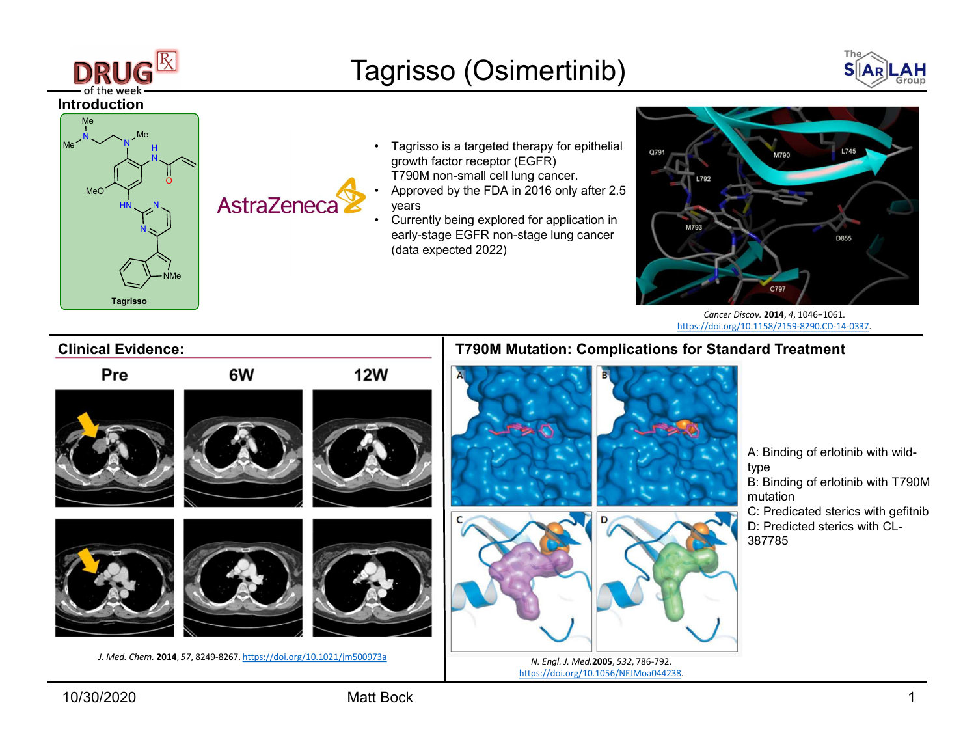